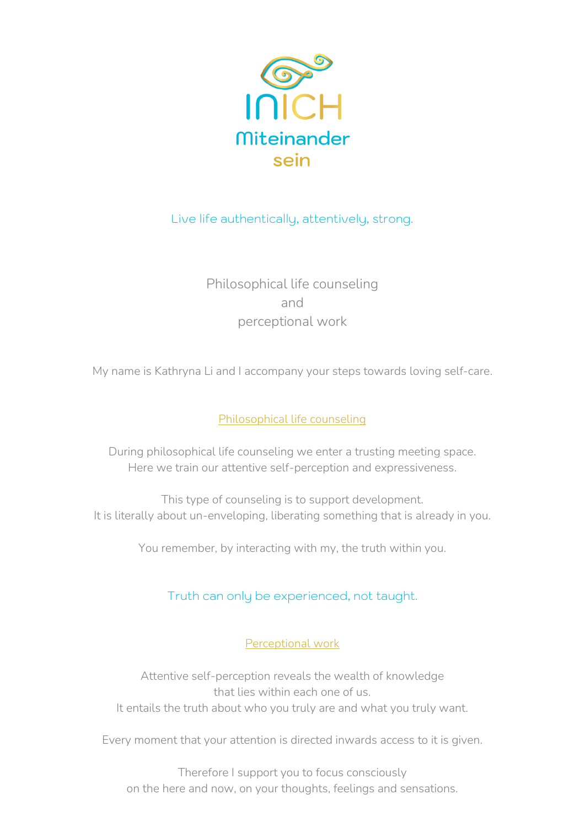

# Live life authentically, attentively, strong.

Philosophical life counseling and perceptional work

My name is Kathryna Li and I accompany your steps towards loving self-care.

## Philosophical life counseling

During philosophical life counseling we enter a trusting meeting space. Here we train our attentive self-perception and expressiveness.

This type of counseling is to support development. It is literally about un-enveloping, liberating something that is already in you.

You remember, by interacting with my, the truth within you.

# Truth can only be experienced, not taught.

Perceptional work

Attentive self-perception reveals the wealth of knowledge that lies within each one of us. It entails the truth about who you truly are and what you truly want.

Every moment that your attention is directed inwards access to it is given.

Therefore I support you to focus consciously on the here and now, on your thoughts, feelings and sensations.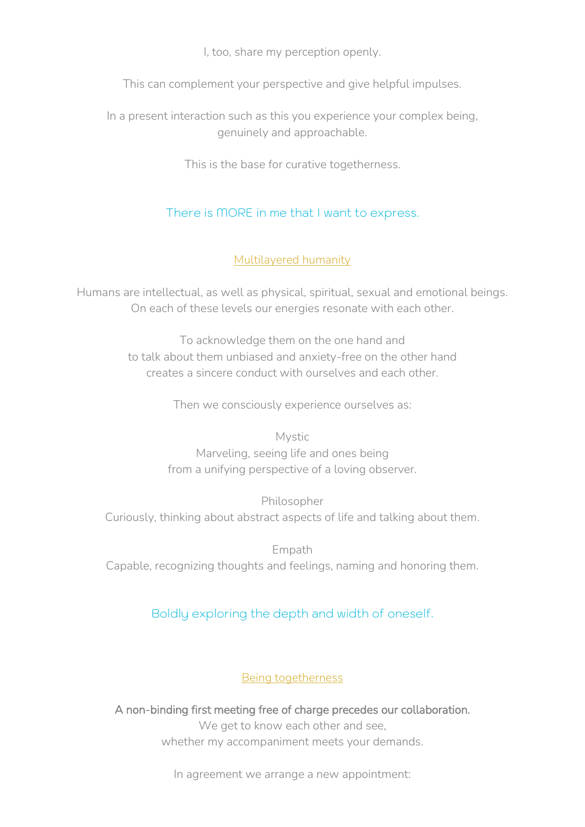I, too, share my perception openly.

This can complement your perspective and give helpful impulses.

In a present interaction such as this you experience your complex being, genuinely and approachable.

This is the base for curative togetherness.

# There is MORE in me that I want to express.

### Multilayered humanity

Humans are intellectual, as well as physical, spiritual, sexual and emotional beings. On each of these levels our energies resonate with each other.

> To acknowledge them on the one hand and to talk about them unbiased and anxiety-free on the other hand creates a sincere conduct with ourselves and each other.

> > Then we consciously experience ourselves as:

Mystic Marveling, seeing life and ones being from a unifying perspective of a loving observer.

Philosopher Curiously, thinking about abstract aspects of life and talking about them.

Empath Capable, recognizing thoughts and feelings, naming and honoring them.

## Boldly exploring the depth and width of oneself.

### Being togetherness

A non-binding first meeting free of charge precedes our collaboration. We get to know each other and see, whether my accompaniment meets your demands.

In agreement we arrange a new appointment: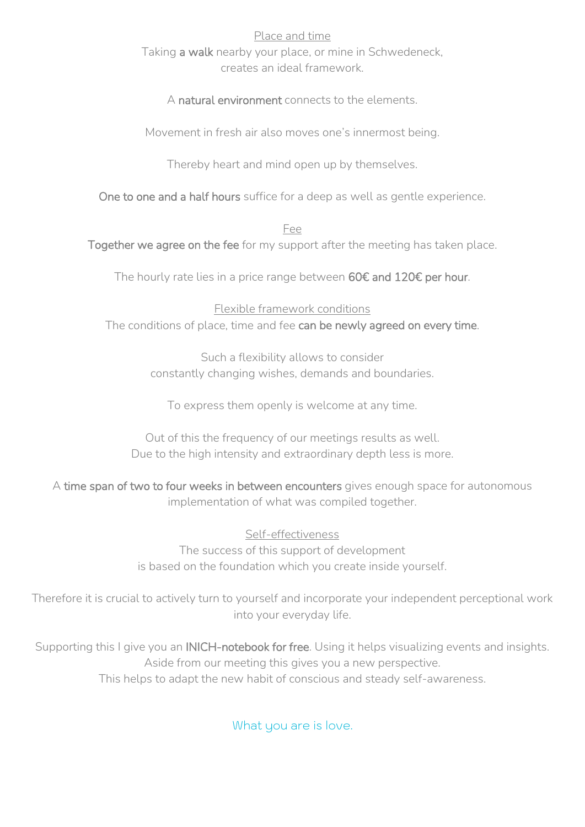#### Place and time

Taking a walk nearby your place, or mine in Schwedeneck, creates an ideal framework.

A natural environment connects to the elements.

Movement in fresh air also moves one's innermost being.

Thereby heart and mind open up by themselves.

One to one and a half hours suffice for a deep as well as gentle experience.

Fee

Together we agree on the fee for my support after the meeting has taken place.

The hourly rate lies in a price range between 60€ and 120€ per hour.

Flexible framework conditions The conditions of place, time and fee can be newly agreed on every time.

> Such a flexibility allows to consider constantly changing wishes, demands and boundaries.

To express them openly is welcome at any time.

Out of this the frequency of our meetings results as well. Due to the high intensity and extraordinary depth less is more.

A time span of two to four weeks in between encounters gives enough space for autonomous implementation of what was compiled together.

> Self-effectiveness The success of this support of development is based on the foundation which you create inside yourself.

Therefore it is crucial to actively turn to yourself and incorporate your independent perceptional work into your everyday life.

Supporting this I give you an **INICH-notebook for free**. Using it helps visualizing events and insights. Aside from our meeting this gives you a new perspective. This helps to adapt the new habit of conscious and steady self-awareness.

What you are is love.